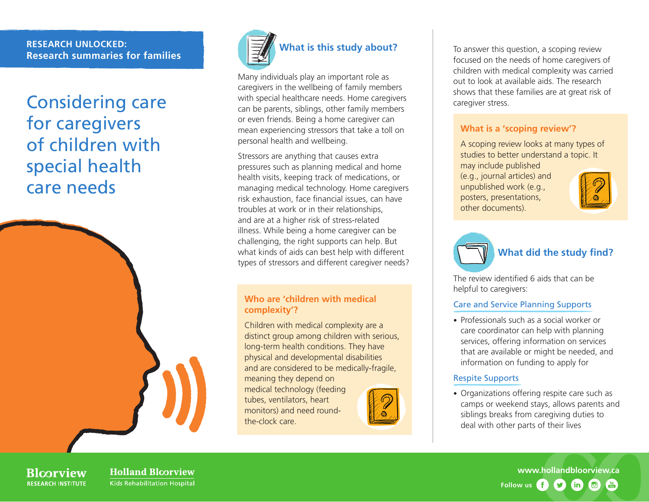#### **RESEARCH UNLOCKED: Research summaries for families**

## Considering care for caregivers of children with special health care needs





Many individuals play an important role as caregivers in the wellbeing of family members with special healthcare needs. Home caregivers can be parents, siblings, other family members or even friends. Being a home caregiver can mean experiencing stressors that take a toll on personal health and wellbeing.

Stressors are anything that causes extra pressures such as planning medical and home health visits, keeping track of medications, or managing medical technology. Home caregivers risk exhaustion, face financial issues, can have troubles at work or in their relationships, and are at a higher risk of stress-related illness. While being a home caregiver can be challenging, the right supports can help. But what kinds of aids can best help with different types of stressors and different caregiver needs?

#### **Who are 'children with medical complexity'?**

Children with medical complexity are a distinct group among children with serious, long-term health conditions. They have physical and developmental disabilities and are considered to be medically-fragile,

meaning they depend on medical technology (feeding tubes, ventilators, heart monitors) and need roundthe-clock care.



To answer this question, a scoping review focused on the needs of home caregivers of children with medical complexity was carried out to look at available aids. The research shows that these families are at great risk of caregiver stress.

#### **What is a 'scoping review'?**

A scoping review looks at many types of studies to better understand a topic. It may include published

(e.g., journal articles) and unpublished work (e.g., posters, presentations, other documents).





The review identified 6 aids that can be helpful to caregivers:

#### Care and Service Planning Supports

• Professionals such as a social worker or care coordinator can help with planning services, offering information on services that are available or might be needed, and information on funding to apply for

#### Respite Supports

• Organizations offering respite care such as camps or weekend stays, allows parents and siblings breaks from caregiving duties to deal with other parts of their lives

**Rlcorview RESEARCH INSTITUTE**  **Holland Bloorview** Kids Rehabilitation Hospital

**[www.hollandbloorview.ca](http://www.hollandbloorview.ca) Follow us** $\boldsymbol{\Omega}$  $(in)$ . 回  $\frac{Y_{\text{GII}}}{T \text{u} \text{u} \text{c}}$